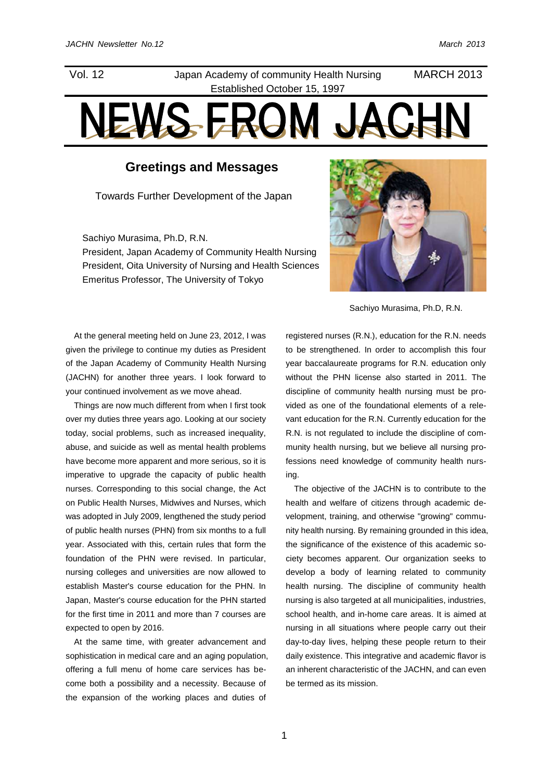# Vol. 12 Japan Academy of community Health Nursing Established October 15, 1997

# MARCH 2013

# NEWS FROI

# **Greetings and Messages**

Towards Further Development of the Japan

Sachiyo Murasima, Ph.D, R.N. President, Japan Academy of Community Health Nursing President, Oita University of Nursing and Health Sciences Emeritus Professor, The University of Tokyo



Sachiyo Murasima, Ph.D, R.N.

At the general meeting held on June 23, 2012, I was given the privilege to continue my duties as President of the Japan Academy of Community Health Nursing (JACHN) for another three years. I look forward to your continued involvement as we move ahead.

Things are now much different from when I first took over my duties three years ago. Looking at our society today, social problems, such as increased inequality, abuse, and suicide as well as mental health problems have become more apparent and more serious, so it is imperative to upgrade the capacity of public health nurses. Corresponding to this social change, the Act on Public Health Nurses, Midwives and Nurses, which was adopted in July 2009, lengthened the study period of public health nurses (PHN) from six months to a full year. Associated with this, certain rules that form the foundation of the PHN were revised. In particular, nursing colleges and universities are now allowed to establish Master's course education for the PHN. In Japan, Master's course education for the PHN started for the first time in 2011 and more than 7 courses are expected to open by 2016.

At the same time, with greater advancement and sophistication in medical care and an aging population, offering a full menu of home care services has become both a possibility and a necessity. Because of the expansion of the working places and duties of

registered nurses (R.N.), education for the R.N. needs to be strengthened. In order to accomplish this four year baccalaureate programs for R.N. education only without the PHN license also started in 2011. The discipline of community health nursing must be provided as one of the foundational elements of a relevant education for the R.N. Currently education for the R.N. is not regulated to include the discipline of community health nursing, but we believe all nursing professions need knowledge of community health nursing.

The objective of the JACHN is to contribute to the health and welfare of citizens through academic development, training, and otherwise "growing" community health nursing. By remaining grounded in this idea, the significance of the existence of this academic society becomes apparent. Our organization seeks to develop a body of learning related to community health nursing. The discipline of community health nursing is also targeted at all municipalities, industries, school health, and in-home care areas. It is aimed at nursing in all situations where people carry out their day-to-day lives, helping these people return to their daily existence. This integrative and academic flavor is an inherent characteristic of the JACHN, and can even be termed as its mission.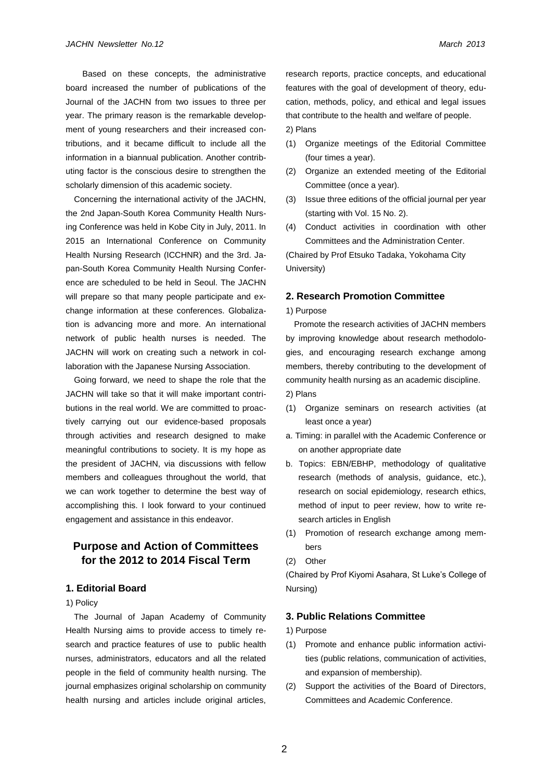Based on these concepts, the administrative board increased the number of publications of the Journal of the JACHN from two issues to three per year. The primary reason is the remarkable development of young researchers and their increased contributions, and it became difficult to include all the information in a biannual publication. Another contributing factor is the conscious desire to strengthen the scholarly dimension of this academic society.

Concerning the international activity of the JACHN, the 2nd Japan-South Korea Community Health Nursing Conference was held in Kobe City in July, 2011. In 2015 an International Conference on Community Health Nursing Research (ICCHNR) and the 3rd. Japan-South Korea Community Health Nursing Conference are scheduled to be held in Seoul. The JACHN will prepare so that many people participate and exchange information at these conferences. Globalization is advancing more and more. An international network of public health nurses is needed. The JACHN will work on creating such a network in collaboration with the Japanese Nursing Association.

Going forward, we need to shape the role that the JACHN will take so that it will make important contributions in the real world. We are committed to proactively carrying out our evidence-based proposals through activities and research designed to make meaningful contributions to society. It is my hope as the president of JACHN, via discussions with fellow members and colleagues throughout the world, that we can work together to determine the best way of accomplishing this. I look forward to your continued engagement and assistance in this endeavor.

# **Purpose and Action of Committees for the 2012 to 2014 Fiscal Term**

#### **1. Editorial Board**

#### 1) Policy

The Journal of Japan Academy of Community Health Nursing aims to provide access to timely research and practice features of use to public health nurses, administrators, educators and all the related people in the field of community health nursing. The journal emphasizes original scholarship on community health nursing and articles include original articles,

research reports, practice concepts, and educational features with the goal of development of theory, education, methods, policy, and ethical and legal issues that contribute to the health and welfare of people. 2) Plans

- (1) Organize meetings of the Editorial Committee (four times a year).
- (2) Organize an extended meeting of the Editorial Committee (once a year).
- (3) Issue three editions of the official journal per year (starting with Vol. 15 No. 2).
- (4) Conduct activities in coordination with other Committees and the Administration Center.

(Chaired by Prof Etsuko Tadaka, Yokohama City University)

#### **2. Research Promotion Committee**

#### 1) Purpose

Promote the research activities of JACHN members by improving knowledge about research methodologies, and encouraging research exchange among members, thereby contributing to the development of community health nursing as an academic discipline.

- 2) Plans
- (1) Organize seminars on research activities (at least once a year)
- a. Timing: in parallel with the Academic Conference or on another appropriate date
- b. Topics: EBN/EBHP, methodology of qualitative research (methods of analysis, guidance, etc.), research on social epidemiology, research ethics, method of input to peer review, how to write research articles in English
- (1) Promotion of research exchange among members
- (2) Other

(Chaired by Prof Kiyomi Asahara, St Luke's College of Nursing)

#### **3. Public Relations Committee**

#### 1) Purpose

- (1) Promote and enhance public information activities (public relations, communication of activities, and expansion of membership).
- (2) Support the activities of the Board of Directors, Committees and Academic Conference.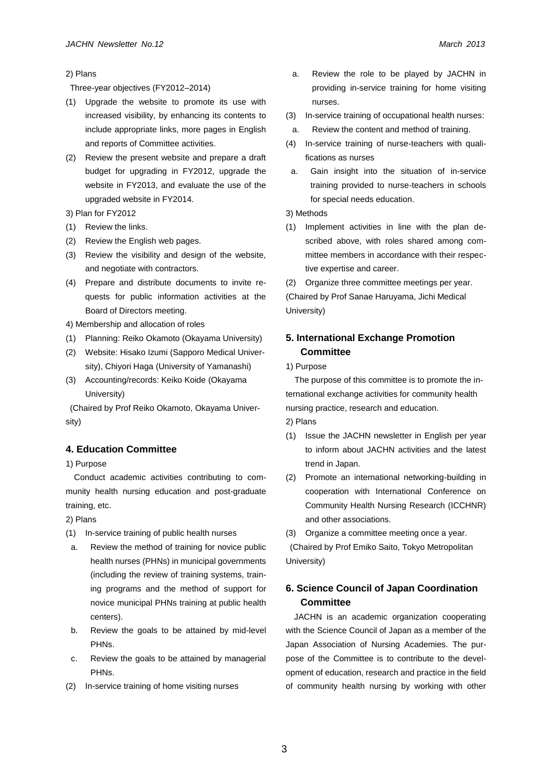#### 2) Plans

Three-year objectives (FY2012–2014)

- (1) Upgrade the website to promote its use with increased visibility, by enhancing its contents to include appropriate links, more pages in English and reports of Committee activities.
- (2) Review the present website and prepare a draft budget for upgrading in FY2012, upgrade the website in FY2013, and evaluate the use of the upgraded website in FY2014.

3) Plan for FY2012

- (1) Review the links.
- (2) Review the English web pages.
- (3) Review the visibility and design of the website, and negotiate with contractors.
- (4) Prepare and distribute documents to invite requests for public information activities at the Board of Directors meeting.

4) Membership and allocation of roles

- (1) Planning: Reiko Okamoto (Okayama University)
- (2) Website: Hisako Izumi (Sapporo Medical University), Chiyori Haga (University of Yamanashi)
- (3) Accounting/records: Keiko Koide (Okayama University)

(Chaired by Prof Reiko Okamoto, Okayama University)

## **4. Education Committee**

1) Purpose

Conduct academic activities contributing to community health nursing education and post-graduate training, etc.

2) Plans

- (1) In-service training of public health nurses
- a. Review the method of training for novice public health nurses (PHNs) in municipal governments (including the review of training systems, training programs and the method of support for novice municipal PHNs training at public health centers).
- b. Review the goals to be attained by mid-level PHNs.
- c. Review the goals to be attained by managerial PHNs.
- (2) In-service training of home visiting nurses
- a. Review the role to be played by JACHN in providing in-service training for home visiting nurses.
- (3) In-service training of occupational health nurses:
- a. Review the content and method of training.
- (4) In-service training of nurse-teachers with qualifications as nurses
- a. Gain insight into the situation of in-service training provided to nurse-teachers in schools for special needs education.
- 3) Methods
- (1) Implement activities in line with the plan described above, with roles shared among committee members in accordance with their respective expertise and career.

(2) Organize three committee meetings per year. (Chaired by Prof Sanae Haruyama, Jichi Medical University)

# **5. International Exchange Promotion Committee**

1) Purpose

The purpose of this committee is to promote the international exchange activities for community health nursing practice, research and education. 2) Plans

- (1) Issue the JACHN newsletter in English per year to inform about JACHN activities and the latest trend in Japan.
- (2) Promote an international networking-building in cooperation with International Conference on Community Health Nursing Research (ICCHNR) and other associations.

(3) Organize a committee meeting once a year.

(Chaired by Prof Emiko Saito, Tokyo Metropolitan University)

# **6. Science Council of Japan Coordination Committee**

JACHN is an academic organization cooperating with the Science Council of Japan as a member of the Japan Association of Nursing Academies. The purpose of the Committee is to contribute to the development of education, research and practice in the field of community health nursing by working with other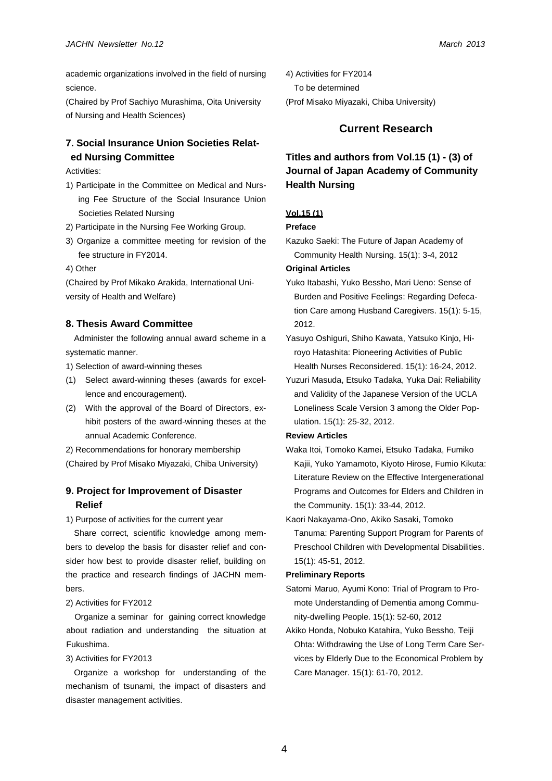academic organizations involved in the field of nursing science.

(Chaired by Prof Sachiyo Murashima, Oita University of Nursing and Health Sciences)

# **7. Social Insurance Union Societies Related Nursing Committee**

Activities:

- 1) Participate in the Committee on Medical and Nursing Fee Structure of the Social Insurance Union Societies Related Nursing
- 2) Participate in the Nursing Fee Working Group.
- 3) Organize a committee meeting for revision of the fee structure in FY2014.
- 4) Other

(Chaired by Prof Mikako Arakida, International University of Health and Welfare)

## **8. Thesis Award Committee**

Administer the following annual award scheme in a systematic manner.

1) Selection of award-winning theses

- (1) Select award-winning theses (awards for excellence and encouragement).
- (2) With the approval of the Board of Directors, exhibit posters of the award-winning theses at the annual Academic Conference.
- 2) Recommendations for honorary membership
- (Chaired by Prof Misako Miyazaki, Chiba University)

# **9. Project for Improvement of Disaster Relief**

1) Purpose of activities for the current year

Share correct, scientific knowledge among members to develop the basis for disaster relief and consider how best to provide disaster relief, building on the practice and research findings of JACHN members.

## 2) Activities for FY2012

Organize a seminar for gaining correct knowledge about radiation and understanding the situation at Fukushima.

#### 3) Activities for FY2013

Organize a workshop for understanding of the mechanism of tsunami, the impact of disasters and disaster management activities.

4) Activities for FY2014 To be determined (Prof Misako Miyazaki, Chiba University)

# **Current Research**

# **Titles and authors from Vol.15 (1) - (3) of Journal of Japan Academy of Community Health Nursing**

## **Vol.15 (1)**

## **Preface**

Kazuko Saeki: The Future of Japan Academy of Community Health Nursing. 15(1): 3-4, 2012

#### **Original Articles**

Yuko Itabashi, Yuko Bessho, Mari Ueno: Sense of Burden and Positive Feelings: Regarding Defecation Care among Husband Caregivers. 15(1): 5-15, 2012.

Yuzuri Masuda, Etsuko Tadaka, Yuka Dai: Reliability and Validity of the Japanese Version of the UCLA Loneliness Scale Version 3 among the Older Population. 15(1): 25-32, 2012.

#### **Review Articles**

- Waka Itoi, Tomoko Kamei, Etsuko Tadaka, Fumiko Kajii, Yuko Yamamoto, Kiyoto Hirose, Fumio Kikuta: Literature Review on the Effective Intergenerational Programs and Outcomes for Elders and Children in the Community. 15(1): 33-44, 2012.
- Kaori Nakayama-Ono, Akiko Sasaki, Tomoko Tanuma: Parenting Support Program for Parents of Preschool Children with Developmental Disabilities. 15(1): 45-51, 2012.

#### **Preliminary Reports**

- Satomi Maruo, Ayumi Kono: Trial of Program to Promote Understanding of Dementia among Community-dwelling People. 15(1): 52-60, 2012
- Akiko Honda, Nobuko Katahira, Yuko Bessho, Teiji Ohta: Withdrawing the Use of Long Term Care Services by Elderly Due to the Economical Problem by Care Manager. 15(1): 61-70, 2012.

Yasuyo Oshiguri, Shiho Kawata, Yatsuko Kinjo, Hiroyo Hatashita: Pioneering Activities of Public Health Nurses Reconsidered. 15(1): 16-24, 2012.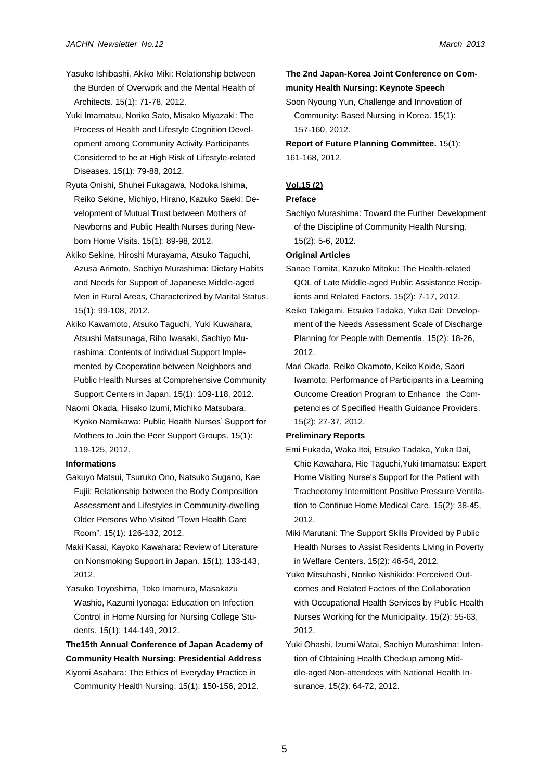- Yasuko Ishibashi, Akiko Miki: Relationship between the Burden of Overwork and the Mental Health of Architects. 15(1): 71-78, 2012.
- Yuki Imamatsu, Noriko Sato, Misako Miyazaki: The Process of Health and Lifestyle Cognition Development among Community Activity Participants Considered to be at High Risk of Lifestyle-related Diseases. 15(1): 79-88, 2012.
- Ryuta Onishi, Shuhei Fukagawa, Nodoka Ishima, Reiko Sekine, Michiyo, Hirano, Kazuko Saeki: Development of Mutual Trust between Mothers of Newborns and Public Health Nurses during Newborn Home Visits. 15(1): 89-98, 2012.
- Akiko Sekine, Hiroshi Murayama, Atsuko Taguchi, Azusa Arimoto, Sachiyo Murashima: Dietary Habits and Needs for Support of Japanese Middle-aged Men in Rural Areas, Characterized by Marital Status. 15(1): 99-108, 2012.
- Akiko Kawamoto, Atsuko Taguchi, Yuki Kuwahara, Atsushi Matsunaga, Riho Iwasaki, Sachiyo Murashima: Contents of Individual Support Implemented by Cooperation between Neighbors and Public Health Nurses at Comprehensive Community Support Centers in Japan. 15(1): 109-118, 2012.
- Naomi Okada, Hisako Izumi, Michiko Matsubara, Kyoko Namikawa: Public Health Nurses' Support for Mothers to Join the Peer Support Groups. 15(1): 119-125, 2012.

#### **Informations**

- Gakuyo Matsui, Tsuruko Ono, Natsuko Sugano, Kae Fujii: Relationship between the Body Composition Assessment and Lifestyles in Community-dwelling Older Persons Who Visited "Town Health Care Room". 15(1): 126-132, 2012.
- Maki Kasai, Kayoko Kawahara: Review of Literature on Nonsmoking Support in Japan. 15(1): 133-143, 2012.
- Yasuko Toyoshima, Toko Imamura, Masakazu Washio, Kazumi Iyonaga: Education on Infection Control in Home Nursing for Nursing College Students. 15(1): 144-149, 2012.

# **The15th Annual Conference of Japan Academy of Community Health Nursing: Presidential Address**

Kiyomi Asahara: The Ethics of Everyday Practice in Community Health Nursing. 15(1): 150-156, 2012.

## **The 2nd Japan-Korea Joint Conference on Community Health Nursing: Keynote Speech**

Soon Nyoung Yun, Challenge and Innovation of Community: Based Nursing in Korea. 15(1): 157-160, 2012.

**Report of Future Planning Committee.** 15(1): 161-168, 2012.

## **Vol.15 (2)**

#### **Preface**

Sachiyo Murashima: Toward the Further Development of the Discipline of Community Health Nursing. 15(2): 5-6, 2012.

#### **Original Articles**

- Sanae Tomita, Kazuko Mitoku: The Health-related QOL of Late Middle-aged Public Assistance Recipients and Related Factors. 15(2): 7-17, 2012.
- Keiko Takigami, Etsuko Tadaka, Yuka Dai: Development of the Needs Assessment Scale of Discharge Planning for People with Dementia. 15(2): 18-26, 2012.
- Mari Okada, Reiko Okamoto, Keiko Koide, Saori Iwamoto: Performance of Participants in a Learning Outcome Creation Program to Enhance the Competencies of Specified Health Guidance Providers. 15(2): 27-37, 2012.

#### **Preliminary Reports**

- Emi Fukada, Waka Itoi, Etsuko Tadaka, Yuka Dai, Chie Kawahara, Rie Taguchi,Yuki Imamatsu: Expert Home Visiting Nurse's Support for the Patient with Tracheotomy Intermittent Positive Pressure Ventilation to Continue Home Medical Care. 15(2): 38-45, 2012.
- Miki Marutani: The Support Skills Provided by Public Health Nurses to Assist Residents Living in Poverty in Welfare Centers. 15(2): 46-54, 2012.
- Yuko Mitsuhashi, Noriko Nishikido: Perceived Outcomes and Related Factors of the Collaboration with Occupational Health Services by Public Health Nurses Working for the Municipality. 15(2): 55-63, 2012.
- Yuki Ohashi, Izumi Watai, Sachiyo Murashima: Intention of Obtaining Health Checkup among Middle-aged Non-attendees with National Health Insurance. 15(2): 64-72, 2012.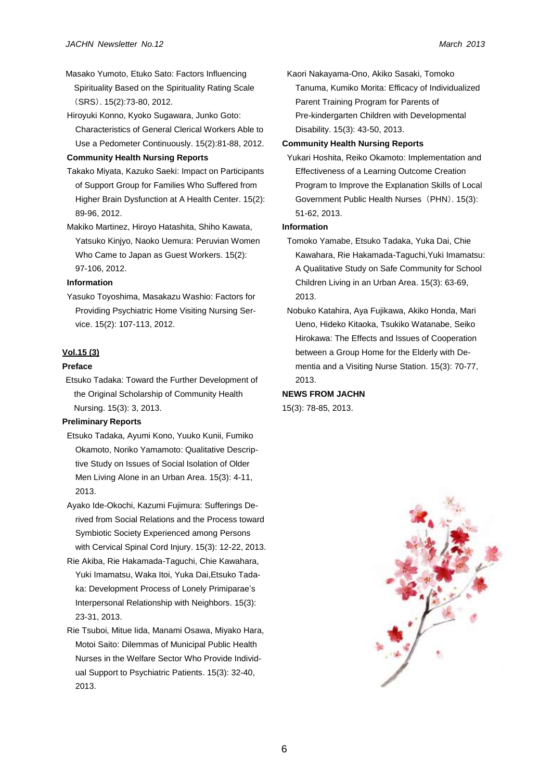- Masako Yumoto, Etuko Sato: Factors Influencing Spirituality Based on the Spirituality Rating Scale (SRS). 15(2):73-80, 2012.
- Hiroyuki Konno, Kyoko Sugawara, Junko Goto: Characteristics of General Clerical Workers Able to Use a Pedometer Continuously. 15(2):81-88, 2012.

#### **Community Health Nursing Reports**

- Takako Miyata, Kazuko Saeki: Impact on Participants of Support Group for Families Who Suffered from Higher Brain Dysfunction at A Health Center. 15(2): 89-96, 2012.
- Makiko Martinez, Hiroyo Hatashita, Shiho Kawata, Yatsuko Kinjyo, Naoko Uemura: Peruvian Women Who Came to Japan as Guest Workers. 15(2): 97-106, 2012.

#### **Information**

Yasuko Toyoshima, Masakazu Washio: Factors for Providing Psychiatric Home Visiting Nursing Service. 15(2): 107-113, 2012.

## **Vol.15 (3)**

#### **Preface**

Etsuko Tadaka: Toward the Further Development of the Original Scholarship of Community Health Nursing. 15(3): 3, 2013.

## **Preliminary Reports**

- Etsuko Tadaka, Ayumi Kono, Yuuko Kunii, Fumiko Okamoto, Noriko Yamamoto: Qualitative Descriptive Study on Issues of Social Isolation of Older Men Living Alone in an Urban Area. 15(3): 4-11, 2013.
- Ayako Ide-Okochi, Kazumi Fujimura: Sufferings Derived from Social Relations and the Process toward Symbiotic Society Experienced among Persons with Cervical Spinal Cord Injury. 15(3): 12-22, 2013.
- Rie Akiba, Rie Hakamada-Taguchi, Chie Kawahara, Yuki Imamatsu, Waka Itoi, Yuka Dai,Etsuko Tadaka: Development Process of Lonely Primiparae's Interpersonal Relationship with Neighbors. 15(3): 23-31, 2013.
- Rie Tsuboi, Mitue Iida, Manami Osawa, Miyako Hara, Motoi Saito: Dilemmas of Municipal Public Health Nurses in the Welfare Sector Who Provide Individual Support to Psychiatric Patients. 15(3): 32-40, 2013.

Kaori Nakayama-Ono, Akiko Sasaki, Tomoko Tanuma, Kumiko Morita: Efficacy of Individualized Parent Training Program for Parents of Pre-kindergarten Children with Developmental Disability. 15(3): 43-50, 2013.

#### **Community Health Nursing Reports**

Yukari Hoshita, Reiko Okamoto: Implementation and Effectiveness of a Learning Outcome Creation Program to Improve the Explanation Skills of Local Government Public Health Nurses (PHN). 15(3): 51-62, 2013.

## **Information**

- Tomoko Yamabe, Etsuko Tadaka, Yuka Dai, Chie Kawahara, Rie Hakamada-Taguchi,Yuki Imamatsu: A Qualitative Study on Safe Community for School Children Living in an Urban Area. 15(3): 63-69, 2013.
- Nobuko Katahira, Aya Fujikawa, Akiko Honda, Mari Ueno, Hideko Kitaoka, Tsukiko Watanabe, Seiko Hirokawa: The Effects and Issues of Cooperation between a Group Home for the Elderly with Dementia and a Visiting Nurse Station. 15(3): 70-77, 2013.

#### **NEWS FROM JACHN**

15(3): 78-85, 2013.

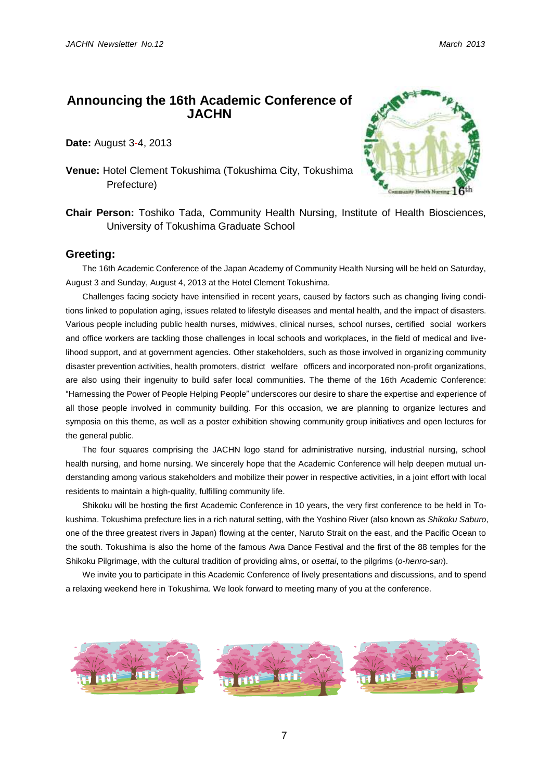# **Announcing the 16th Academic Conference of JACHN**

**Date:** August 3-4, 2013

**Venue:** Hotel Clement Tokushima (Tokushima City, Tokushima Prefecture)



**Chair Person:** Toshiko Tada, Community Health Nursing, Institute of Health Biosciences, University of Tokushima Graduate School

# **Greeting:**

The 16th Academic Conference of the Japan Academy of Community Health Nursing will be held on Saturday, August 3 and Sunday, August 4, 2013 at the Hotel Clement Tokushima.

Challenges facing society have intensified in recent years, caused by factors such as changing living conditions linked to population aging, issues related to lifestyle diseases and mental health, and the impact of disasters. Various people including public health nurses, midwives, clinical nurses, school nurses, certified social workers and office workers are tackling those challenges in local schools and workplaces, in the field of medical and livelihood support, and at government agencies. Other stakeholders, such as those involved in organizing community disaster prevention activities, health promoters, district welfare officers and incorporated non-profit organizations, are also using their ingenuity to build safer local communities. The theme of the 16th Academic Conference: "Harnessing the Power of People Helping People" underscores our desire to share the expertise and experience of all those people involved in community building. For this occasion, we are planning to organize lectures and symposia on this theme, as well as a poster exhibition showing community group initiatives and open lectures for the general public.

The four squares comprising the JACHN logo stand for administrative nursing, industrial nursing, school health nursing, and home nursing. We sincerely hope that the Academic Conference will help deepen mutual understanding among various stakeholders and mobilize their power in respective activities, in a joint effort with local residents to maintain a high-quality, fulfilling community life.

Shikoku will be hosting the first Academic Conference in 10 years, the very first conference to be held in Tokushima. Tokushima prefecture lies in a rich natural setting, with the Yoshino River (also known as *Shikoku Saburo*, one of the three greatest rivers in Japan) flowing at the center, Naruto Strait on the east, and the Pacific Ocean to the south. Tokushima is also the home of the famous Awa Dance Festival and the first of the 88 temples for the Shikoku Pilgrimage, with the cultural tradition of providing alms, or *osettai*, to the pilgrims (*o-henro-san*).

We invite you to participate in this Academic Conference of lively presentations and discussions, and to spend a relaxing weekend here in Tokushima. We look forward to meeting many of you at the conference.